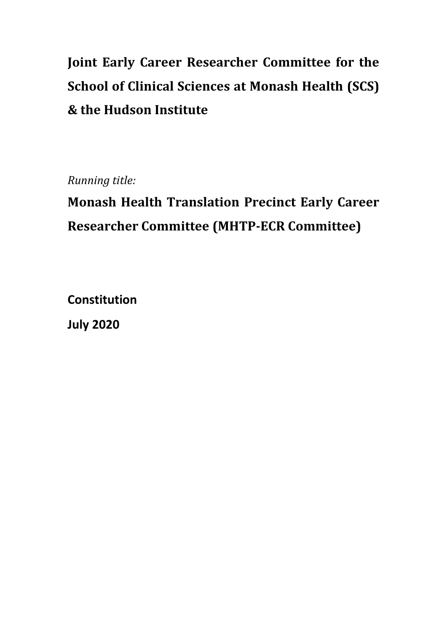# **Joint Early Career Researcher Committee for the School of Clinical Sciences at Monash Health (SCS) & the Hudson Institute**

*Running title:*

# **Monash Health Translation Precinct Early Career Researcher Committee (MHTP-ECR Committee)**

**Constitution** 

**July 2020**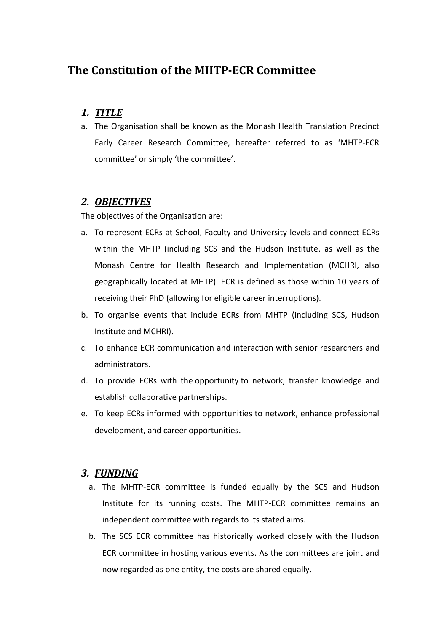# *1. TITLE*

a. The Organisation shall be known as the Monash Health Translation Precinct Early Career Research Committee, hereafter referred to as 'MHTP-ECR committee' or simply 'the committee'.

# *2. OBJECTIVES*

The objectives of the Organisation are:

- a. To represent ECRs at School, Faculty and University levels and connect ECRs within the MHTP (including SCS and the Hudson Institute, as well as the Monash Centre for Health Research and Implementation (MCHRI, also geographically located at MHTP). ECR is defined as those within 10 years of receiving their PhD (allowing for eligible career interruptions).
- b. To organise events that include ECRs from MHTP (including SCS, Hudson Institute and MCHRI).
- c. To enhance ECR communication and interaction with senior researchers and administrators.
- d. To provide ECRs with the opportunity to network, transfer knowledge and establish collaborative partnerships.
- e. To keep ECRs informed with opportunities to network, enhance professional development, and career opportunities.

# *3. FUNDING*

- a. The MHTP-ECR committee is funded equally by the SCS and Hudson Institute for its running costs. The MHTP-ECR committee remains an independent committee with regards to its stated aims.
- b. The SCS ECR committee has historically worked closely with the Hudson ECR committee in hosting various events. As the committees are joint and now regarded as one entity, the costs are shared equally.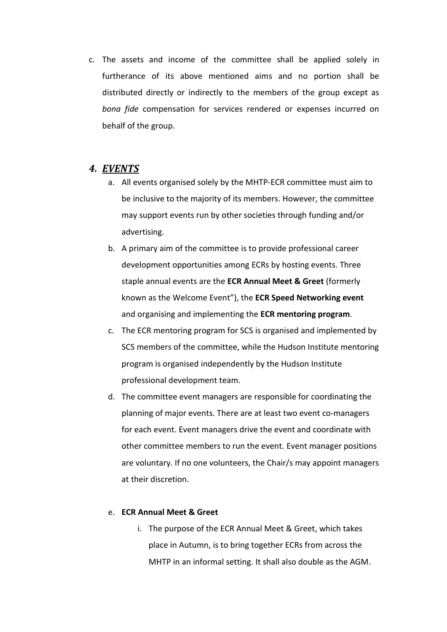c. The assets and income of the committee shall be applied solely in furtherance of its above mentioned aims and no portion shall be distributed directly or indirectly to the members of the group except as *bona fide* compensation for services rendered or expenses incurred on behalf of the group.

#### *4. EVENTS*

- a. All events organised solely by the MHTP-ECR committee must aim to be inclusive to the majority of its members. However, the committee may support events run by other societies through funding and/or advertising.
- b. A primary aim of the committee is to provide professional career development opportunities among ECRs by hosting events. Three staple annual events are the **ECR Annual Meet & Greet** (formerly known as the Welcome Event"), the **ECR Speed Networking event** and organising and implementing the **ECR mentoring program**.
- c. The ECR mentoring program for SCS is organised and implemented by SCS members of the committee, while the Hudson Institute mentoring program is organised independently by the Hudson Institute professional development team.
- d. The committee event managers are responsible for coordinating the planning of major events. There are at least two event co-managers for each event. Event managers drive the event and coordinate with other committee members to run the event. Event manager positions are voluntary. If no one volunteers, the Chair/s may appoint managers at their discretion.

#### e. **ECR Annual Meet & Greet**

i. The purpose of the ECR Annual Meet & Greet, which takes place in Autumn, is to bring together ECRs from across the MHTP in an informal setting. It shall also double as the AGM.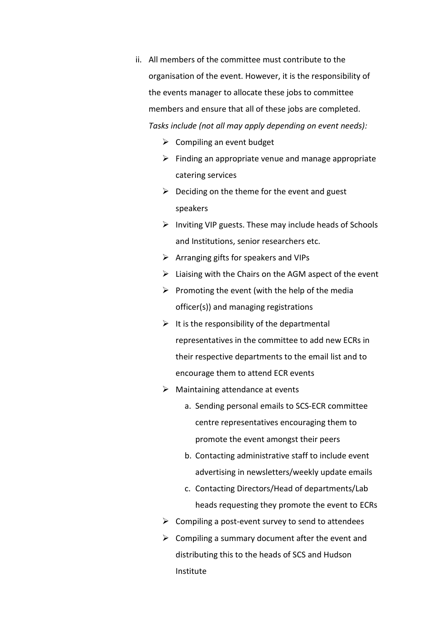- ii. All members of the committee must contribute to the organisation of the event. However, it is the responsibility of the events manager to allocate these jobs to committee members and ensure that all of these jobs are completed. *Tasks include (not all may apply depending on event needs):*
	- $\triangleright$  Compiling an event budget
	- $\triangleright$  Finding an appropriate venue and manage appropriate catering services
	- $\triangleright$  Deciding on the theme for the event and guest speakers
	- $\triangleright$  Inviting VIP guests. These may include heads of Schools and Institutions, senior researchers etc.
	- ➢ Arranging gifts for speakers and VIPs
	- $\triangleright$  Liaising with the Chairs on the AGM aspect of the event
	- $\triangleright$  Promoting the event (with the help of the media officer(s)) and managing registrations
	- $\triangleright$  It is the responsibility of the departmental representatives in the committee to add new ECRs in their respective departments to the email list and to encourage them to attend ECR events
	- $\triangleright$  Maintaining attendance at events
		- a. Sending personal emails to SCS-ECR committee centre representatives encouraging them to promote the event amongst their peers
		- b. Contacting administrative staff to include event advertising in newsletters/weekly update emails
		- c. Contacting Directors/Head of departments/Lab heads requesting they promote the event to ECRs
	- $\triangleright$  Compiling a post-event survey to send to attendees
	- $\triangleright$  Compiling a summary document after the event and distributing this to the heads of SCS and Hudson Institute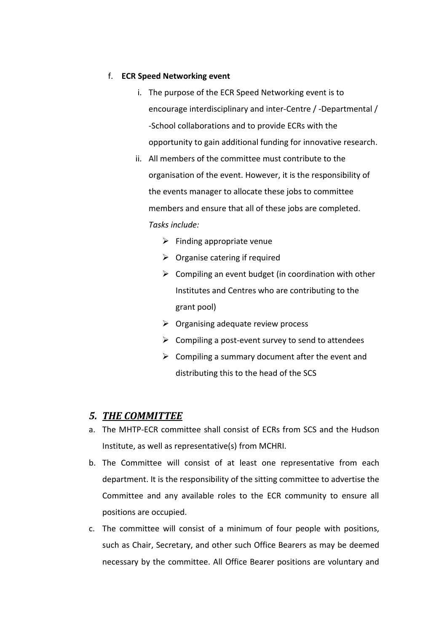#### f. **ECR Speed Networking event**

- i. The purpose of the ECR Speed Networking event is to encourage interdisciplinary and inter-Centre / -Departmental / -School collaborations and to provide ECRs with the opportunity to gain additional funding for innovative research.
- ii. All members of the committee must contribute to the organisation of the event. However, it is the responsibility of the events manager to allocate these jobs to committee members and ensure that all of these jobs are completed. *Tasks include:*
	- $\triangleright$  Finding appropriate venue
	- $\triangleright$  Organise catering if required
	- $\triangleright$  Compiling an event budget (in coordination with other Institutes and Centres who are contributing to the grant pool)
	- $\triangleright$  Organising adequate review process
	- $\triangleright$  Compiling a post-event survey to send to attendees
	- $\triangleright$  Compiling a summary document after the event and distributing this to the head of the SCS

### *5. THE COMMITTEE*

- a. The MHTP-ECR committee shall consist of ECRs from SCS and the Hudson Institute, as well as representative(s) from MCHRI.
- b. The Committee will consist of at least one representative from each department. It is the responsibility of the sitting committee to advertise the Committee and any available roles to the ECR community to ensure all positions are occupied.
- c. The committee will consist of a minimum of four people with positions, such as Chair, Secretary, and other such Office Bearers as may be deemed necessary by the committee. All Office Bearer positions are voluntary and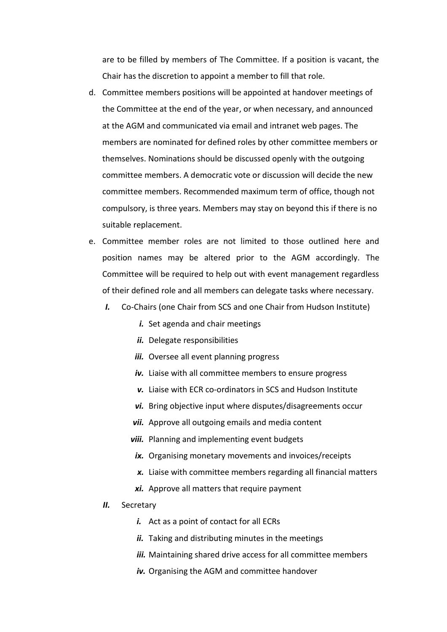are to be filled by members of The Committee. If a position is vacant, the Chair has the discretion to appoint a member to fill that role.

- d. Committee members positions will be appointed at handover meetings of the Committee at the end of the year, or when necessary, and announced at the AGM and communicated via email and intranet web pages. The members are nominated for defined roles by other committee members or themselves. Nominations should be discussed openly with the outgoing committee members. A democratic vote or discussion will decide the new committee members. Recommended maximum term of office, though not compulsory, is three years. Members may stay on beyond this if there is no suitable replacement.
- e. Committee member roles are not limited to those outlined here and position names may be altered prior to the AGM accordingly. The Committee will be required to help out with event management regardless of their defined role and all members can delegate tasks where necessary.
	- *I.* Co-Chairs (one Chair from SCS and one Chair from Hudson Institute)
		- *i.* Set agenda and chair meetings
		- *ii.* Delegate responsibilities
		- *iii.* Oversee all event planning progress
		- *iv.* Liaise with all committee members to ensure progress
		- *v.* Liaise with ECR co-ordinators in SCS and Hudson Institute
		- *vi.* Bring objective input where disputes/disagreements occur
		- **vii.** Approve all outgoing emails and media content
		- *viii.* Planning and implementing event budgets
		- *ix.* Organising monetary movements and invoices/receipts
		- *x.* Liaise with committee members regarding all financial matters
		- *xi.* Approve all matters that require payment
	- *II.* Secretary
		- *i.* Act as a point of contact for all ECRs
		- *ii.* Taking and distributing minutes in the meetings
		- iii. Maintaining shared drive access for all committee members
		- *iv.* Organising the AGM and committee handover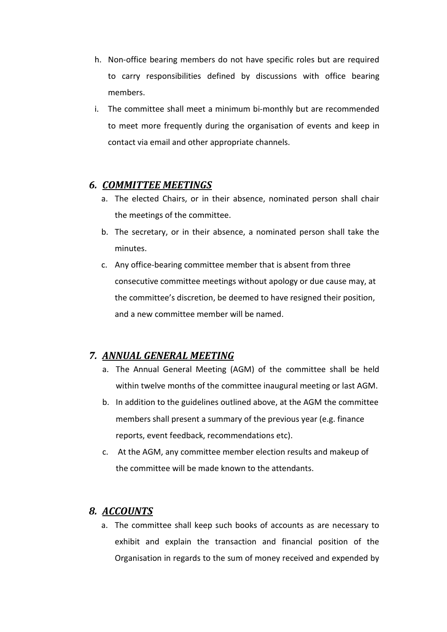- h. Non-office bearing members do not have specific roles but are required to carry responsibilities defined by discussions with office bearing members.
- i. The committee shall meet a minimum bi-monthly but are recommended to meet more frequently during the organisation of events and keep in contact via email and other appropriate channels.

## *6. COMMITTEE MEETINGS*

- a. The elected Chairs, or in their absence, nominated person shall chair the meetings of the committee.
- b. The secretary, or in their absence, a nominated person shall take the minutes.
- c. Any office-bearing committee member that is absent from three consecutive committee meetings without apology or due cause may, at the committee's discretion, be deemed to have resigned their position, and a new committee member will be named.

# *7. ANNUAL GENERAL MEETING*

- a. The Annual General Meeting (AGM) of the committee shall be held within twelve months of the committee inaugural meeting or last AGM.
- b. In addition to the guidelines outlined above, at the AGM the committee members shall present a summary of the previous year (e.g. finance reports, event feedback, recommendations etc).
- c. At the AGM, any committee member election results and makeup of the committee will be made known to the attendants.

# *8. ACCOUNTS*

a. The committee shall keep such books of accounts as are necessary to exhibit and explain the transaction and financial position of the Organisation in regards to the sum of money received and expended by